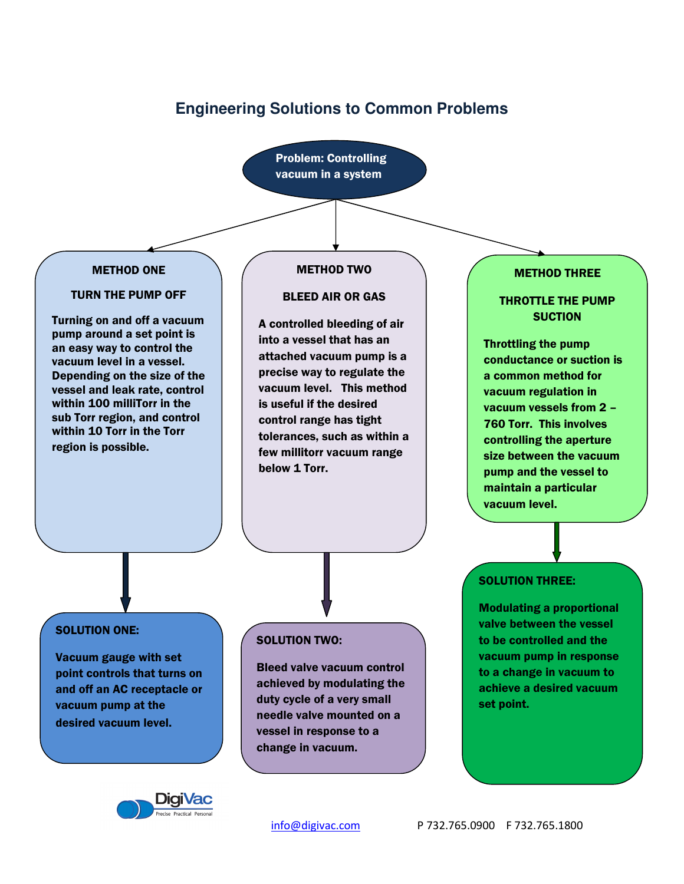# **Engineering Solutions to Common Problems**

Problem: Controlling vacuum in a system

## METHOD ONE

### TURN THE PUMP OFF

Turning on and off a vacuum pump around a set point is an easy way to control the vacuum level in a vessel. Depending on the size of the vessel and leak rate, control within 100 milliTorr in the sub Torr region, and control within 10 Torr in the Torr region is possible.

## METHOD TWO

#### BLEED AIR OR GAS

A controlled bleeding of air into a vessel that has an attached vacuum pump is a precise way to regulate the vacuum level. This method is useful if the desired control range has tight tolerances, such as within a few millitorr vacuum range below 1 Torr.

#### METHOD THREE

# THROTTLE THE PUMP **SUCTION**

Throttling the pump conductance or suction is a common method for vacuum regulation in vacuum vessels from 2 – 760 Torr. This involves controlling the aperture size between the vacuum pump and the vessel to maintain a particular vacuum level.

# SOLUTION ONE:

Vacuum gauge with set point controls that turns on and off an AC receptacle or vacuum pump at the desired vacuum level.



# SOLUTION TWO:

Bleed valve vacuum control achieved by modulating the duty cycle of a very small needle valve mounted on a vessel in response to a change in vacuum.

# SOLUTION THREE:

Modulating a proportional valve between the vessel to be controlled and the vacuum pump in response to a change in vacuum to achieve a desired vacuum set point.